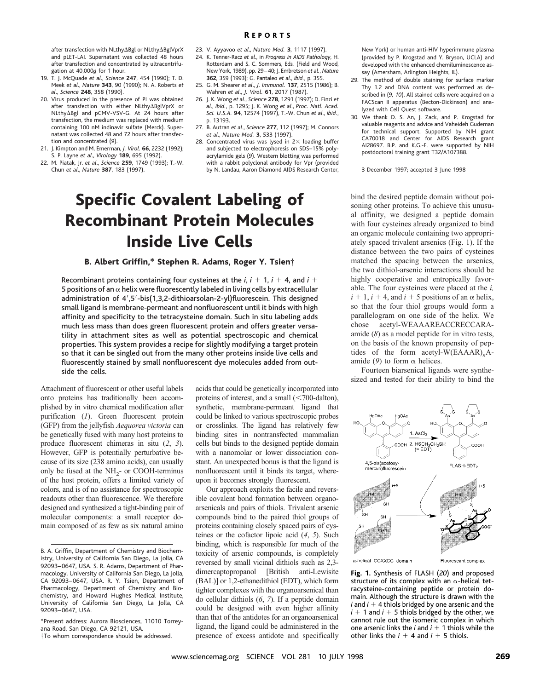after transfection with NLthyABgl or NLthyABglVprX and pLET-LAI. Supernatant was collected 48 hours after transfection and concentrated by ultracentrifugation at 40,000*g* for 1 hour.

- 19. T. J. McQuade *et al*., *Science* **247**, 454 (1990); T. D. Meek *et al*., *Nature* **343**, 90 (1990); N. A. Roberts *et al*., *Science* **248**, 358 (1990).
- 20. Virus produced in the presence of PI was obtained after transfection with either NLthy $\Delta$ BglVprX or NLthy $\Delta$ Bgl and pCMV-VSV-G. At 24 hours after transfection, the medium was replaced with medium containing 100 nM indinavir sulfate (Merck). Supernatant was collected 48 and 72 hours after transfection and concentrated (*9*).
- 21. J. Kimpton and M. Emerman, *J. Virol.* **66**, 2232 (1992); S. P. Layne *et al*., *Virology* **189**, 695 (1992).
- 22. M. Piatak, Jr. *et al*., *Science* **259**, 1749 (1993); T.-W. Chun *et al*., *Nature* **387**, 183 (1997).
- 23. V. Ayyavoo *et al*., *Nature Med.* **3**, 1117 (1997).
- 24. K. Tenner-Racz *et al*., in *Progress in AIDS Pathology*, H. Rotterdam and S. C. Sommers, Eds*.* (Field and Wood, New York, 1989), pp. 29–40; J. Embretson *et al.*, *Nature* **362**, 359 (1993); G. Pantaleo *et al*., *ibid.*, p. 355.
- 25. G. M. Shearer *et al*., *J. Immunol.* **137**, 2515 (1986); B. Wahren *et al*., *J. Virol.* **61**, 2017 (1987).
- 26. J. K. Wong *et al*., *Science* **278**, 1291 (1997); D. Finzi *et al*., *ibid.*, p. 1295; J. K. Wong *et al*., *Proc. Natl. Acad. Sci. U.S.A.* **94**, 12574 (1997), T.-W. Chun *et al*., *ibid.*, p. 13193.
- 27. B. Autran *et al*., *Science* **277**, 112 (1997); M. Connors *et al*., *Nature Med.* **3**, 533 (1997).
- 28. Concentrated virus was lysed in  $2\times$  loading buffer and subjected to electrophoresis on SDS–15% polyacrylamide gels (*9*). Western blotting was performed with a rabbit polyclonal antibody for Vpr (provided by N. Landau, Aaron Diamond AIDS Research Center,

# Specific Covalent Labeling of Recombinant Protein Molecules Inside Live Cells

### B. Albert Griffin,\* Stephen R. Adams, Roger Y. Tsien†

Recombinant proteins containing four cysteines at the  $i$ ,  $i + 1$ ,  $i + 4$ , and  $i +$ 5 positions of an  $\alpha$  helix were fluorescently labeled in living cells by extracellular administration of 4',5'-bis(1,3,2-dithioarsolan-2-yl)fluorescein. This designed small ligand is membrane-permeant and nonfluorescent until it binds with high affinity and specificity to the tetracysteine domain. Such in situ labeling adds much less mass than does green fluorescent protein and offers greater versatility in attachment sites as well as potential spectroscopic and chemical properties. This system provides a recipe for slightly modifying a target protein so that it can be singled out from the many other proteins inside live cells and fluorescently stained by small nonfluorescent dye molecules added from outside the cells.

Attachment of fluorescent or other useful labels onto proteins has traditionally been accomplished by in vitro chemical modification after purification (*1*). Green fluorescent protein (GFP) from the jellyfish *Aequorea victoria* can be genetically fused with many host proteins to produce fluorescent chimeras in situ (*2*, *3*). However, GFP is potentially perturbative because of its size (238 amino acids), can usually only be fused at the  $NH<sub>2</sub>-$  or COOH-terminus of the host protein, offers a limited variety of colors, and is of no assistance for spectroscopic readouts other than fluorescence. We therefore designed and synthesized a tight-binding pair of molecular components: a small receptor domain composed of as few as six natural amino

\*Present address: Aurora Biosciences, 11010 Torreyana Road, San Diego, CA 92121, USA.

†To whom correspondence should be addressed.

acids that could be genetically incorporated into proteins of interest, and a small  $(*700*-dalton)$ , synthetic, membrane-permeant ligand that could be linked to various spectroscopic probes or crosslinks. The ligand has relatively few binding sites in nontransfected mammalian cells but binds to the designed peptide domain with a nanomolar or lower dissociation constant. An unexpected bonus is that the ligand is nonfluorescent until it binds its target, whereupon it becomes strongly fluorescent.

Our approach exploits the facile and reversible covalent bond formation between organoarsenicals and pairs of thiols. Trivalent arsenic compounds bind to the paired thiol groups of proteins containing closely spaced pairs of cysteines or the cofactor lipoic acid (*4*, *5*). Such binding, which is responsible for much of the toxicity of arsenic compounds, is completely reversed by small vicinal dithiols such as 2,3 dimercaptopropanol [British anti-Lewisite (BAL)] or 1,2-ethanedithiol (EDT), which form tighter complexes with the organoarsenical than do cellular dithiols (*6*, *7*). If a peptide domain could be designed with even higher affinity than that of the antidotes for an organoarsenical ligand, the ligand could be administered in the presence of excess antidote and specifically

New York) or human anti-HIV hyperimmune plasma (provided by P. Krogstad and Y. Bryson, UCLA) and developed with the enhanced chemiluminescence assay (Amersham, Arlington Heights, IL).

- 29. The method of double staining for surface marker Thy 1.2 and DNA content was performed as described in (*9, 10*). All stained cells were acquired on a FACScan II apparatus (Becton-Dickinson) and analyzed with Cell Quest software.
- 30. We thank D. S. An, J. Zack, and P. Krogstad for valuable reagents and advice and Vaheideh Gudeman for technical support. Supported by NIH grant CA70018 and Center for AIDS Research grant AI28697. B.P. and K.G.-F. were supported by NIH postdoctoral training grant T32/A107388.

3 December 1997; accepted 3 June 1998

bind the desired peptide domain without poisoning other proteins. To achieve this unusual affinity, we designed a peptide domain with four cysteines already organized to bind an organic molecule containing two appropriately spaced trivalent arsenics (Fig. 1). If the distance between the two pairs of cysteines matched the spacing between the arsenics, the two dithiol-arsenic interactions should be highly cooperative and entropically favorable. The four cysteines were placed at the *i,*  $i + 1$ ,  $i + 4$ , and  $i + 5$  positions of an  $\alpha$  helix, so that the four thiol groups would form a parallelogram on one side of the helix. We chose acetyl-WEAAAREACCRECCARAamide (*8*) as a model peptide for in vitro tests, on the basis of the known propensity of peptides of the form acetyl-W(EAAAR)<sub>n</sub>Aamide  $(9)$  to form  $\alpha$  helices.

Fourteen biarsenical ligands were synthesized and tested for their ability to bind the



 $\alpha$ -helical CCXXCC domain

Fluorescent complex

**Fig. 1.** Synthesis of FLASH (*20*) and proposed structure of its complex with an  $\alpha$ -helical tetracysteine-containing peptide or protein domain. Although the structure is drawn with the  $i$  and  $i + 4$  thiols bridged by one arsenic and the  $i + 1$  and  $i + 5$  thiols bridged by the other, we cannot rule out the isomeric complex in which one arsenic links the  $i$  and  $i + 1$  thiols while the other links the  $i + 4$  and  $i + 5$  thiols.

B. A. Griffin, Department of Chemistry and Biochemistry, University of California San Diego, La Jolla, CA 92093–0647, USA. S. R. Adams, Department of Pharmacology, University of California San Diego, La Jolla, CA 92093–0647, USA. R. Y. Tsien, Department of Pharmacology, Department of Chemistry and Biochemistry, and Howard Hughes Medical Institute, University of California San Diego, La Jolla, CA 92093–0647, USA.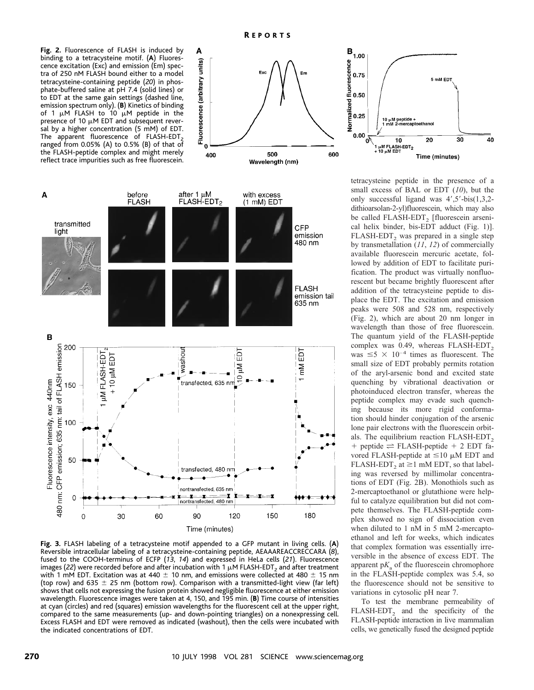**Fig. 2.** Fluorescence of FLASH is induced by binding to a tetracysteine motif. (**A**) Fluorescence excitation (Exc) and emission (Em) spectra of 250 nM FLASH bound either to a model tetracysteine-containing peptide (*20*) in phosphate-buffered saline at pH 7.4 (solid lines) or to EDT at the same gain settings (dashed line, emission spectrum only). (**B**) Kinetics of binding of 1  $\mu$ M FLASH to 10  $\mu$ M peptide in the presence of 10  $\mu$ M EDT and subsequent reversal by a higher concentration (5 mM) of EDT. The apparent fluorescence of FLASH-EDT<sub>2</sub> ranged from 0.05% (A) to 0.5% (B) of that of the FLASH-peptide complex and might merely reflect trace impurities such as free fluorescein.





Time (minutes)

**Fig. 3.** FLASH labeling of a tetracysteine motif appended to a GFP mutant in living cells. (**A**) Reversible intracellular labeling of a tetracysteine-containing peptide, AEAAAREACCRECCARA (*8*), fused to the COOH-terminus of ECFP (*13*, *14*) and expressed in HeLa cells (*21*). Fluorescence images (22) were recorded before and after incubation with 1  $\mu$ M FLASH-EDT<sub>2</sub> and after treatment with 1 mM EDT. Excitation was at 440  $\pm$  10 nm, and emissions were collected at 480  $\pm$  15 nm (top row) and 635  $\pm$  25 nm (bottom row). Comparison with a transmitted-light view (far left) shows that cells not expressing the fusion protein showed negligible fluorescence at either emission wavelength. Fluorescence images were taken at 4, 150, and 195 min. (**B**) Time course of intensities at cyan (circles) and red (squares) emission wavelengths for the fluorescent cell at the upper right, compared to the same measurements (up- and down-pointing triangles) on a nonexpressing cell. Excess FLASH and EDT were removed as indicated (washout), then the cells were incubated with the indicated concentrations of EDT.



tetracysteine peptide in the presence of a small excess of BAL or EDT (*10*), but the only successful ligand was  $4^{\prime},5^{\prime}$ -bis $(1,3,2$ dithioarsolan-2-yl)fluorescein, which may also be called FLASH-EDT<sub>2</sub> [fluorescein arsenical helix binder, bis-EDT adduct (Fig. 1)]. FLASH-EDT, was prepared in a single step by transmetallation (*11*, *12*) of commercially available fluorescein mercuric acetate, followed by addition of EDT to facilitate purification. The product was virtually nonfluorescent but became brightly fluorescent after addition of the tetracysteine peptide to displace the EDT. The excitation and emission peaks were 508 and 528 nm, respectively (Fig. 2), which are about 20 nm longer in wavelength than those of free fluorescein. The quantum yield of the FLASH-peptide complex was 0.49, whereas FLASH-EDT<sub>2</sub> was  $\leq 5 \times 10^{-4}$  times as fluorescent. The small size of EDT probably permits rotation of the aryl-arsenic bond and excited state quenching by vibrational deactivation or photoinduced electron transfer, whereas the peptide complex may evade such quenching because its more rigid conformation should hinder conjugation of the arsenic lone pair electrons with the fluorescein orbitals. The equilibrium reaction FLASH-EDT,  $+$  peptide  $\rightleftharpoons$  FLASH-peptide  $+$  2 EDT favored FLASH-peptide at  $\leq 10 \mu$ M EDT and FLASH-EDT, at  $\geq$ 1 mM EDT, so that labeling was reversed by millimolar concentrations of EDT (Fig. 2B). Monothiols such as 2-mercaptoethanol or glutathione were helpful to catalyze equilibration but did not compete themselves. The FLASH-peptide complex showed no sign of dissociation even when diluted to 1 nM in 5 mM 2-mercaptoethanol and left for weeks, which indicates that complex formation was essentially irreversible in the absence of excess EDT. The apparent  $pK_a$  of the fluorescein chromophore in the FLASH-peptide complex was 5.4, so the fluorescence should not be sensitive to variations in cytosolic pH near 7.

To test the membrane permeability of  $FLASH-EDT<sub>2</sub>$  and the specificity of the FLASH-peptide interaction in live mammalian cells, we genetically fused the designed peptide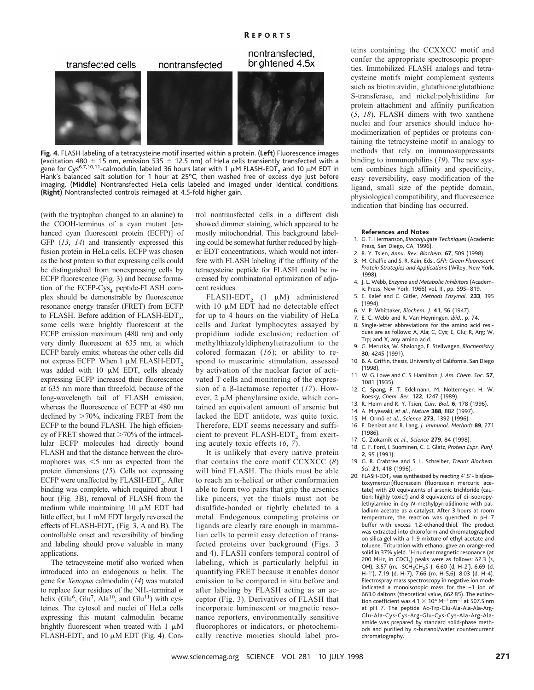

**Fig. 4.** FLASH labeling of a tetracysteine motif inserted within a protein. (**Left**) Fluorescence images (excitation 480  $\pm$  15 nm, emission 535  $\pm$  12.5 nm) of HeLa cells transiently transfected with a gene for Cys<sup>6,7,10,11</sup>-calmodulin, labeled 36 hours later with 1  $\mu$ M FLASH-EDT<sub>2</sub> and 10  $\mu$ M EDT in Hank's balanced salt solution for 1 hour at 25°C, then washed free of excess dye just before imaging. (**Middle**) Nontransfected HeLa cells labeled and imaged under identical conditions. (**Right**) Nontransfected controls reimaged at 4.5-fold higher gain.

(with the tryptophan changed to an alanine) to the COOH-terminus of a cyan mutant [enhanced cyan fluorescent protein (ECFP)] of GFP (*13*, *14*) and transiently expressed this fusion protein in HeLa cells. ECFP was chosen as the host protein so that expressing cells could be distinguished from nonexpressing cells by ECFP fluorescence (Fig. 3) and because formation of the ECFP-Cys<sub>4</sub> peptide-FLASH complex should be demonstrable by fluorescence resonance energy transfer (FRET) from ECFP to FLASH. Before addition of FLASH-EDT $_2$ , some cells were brightly fluorescent at the ECFP emission maximum (480 nm) and only very dimly fluorescent at 635 nm, at which ECFP barely emits; whereas the other cells did not express ECFP. When  $1 \mu M$  FLASH-EDT<sub>2</sub> was added with  $10 \mu M$  EDT, cells already expressing ECFP increased their fluorescence at 635 nm more than threefold, because of the long-wavelength tail of FLASH emission, whereas the fluorescence of ECFP at 480 nm declined by  $>70\%$ , indicating FRET from the ECFP to the bound FLASH. The high efficiency of FRET showed that  $>70\%$  of the intracellular ECFP molecules had directly bound FLASH and that the distance between the chromophores was  $\leq$  nm as expected from the protein dimensions (*15*). Cells not expressing ECFP were unaffected by  $FLASH-EDT<sub>2</sub>$ . After binding was complete, which required about 1 hour (Fig. 3B), removal of FLASH from the medium while maintaining  $10 \mu M$  EDT had little effect, but 1 mM EDT largely reversed the effects of FLASH-EDT, (Fig. 3, A and B). The controllable onset and reversibility of binding and labeling should prove valuable in many applications.

The tetracysteine motif also worked when introduced into an endogenous  $\alpha$  helix. The gene for *Xenopus* calmodulin (*14*) was mutated to replace four residues of the NH<sub>2</sub>-terminal  $\alpha$ helix (Glu<sup>6</sup>, Glu<sup>7</sup>, Ala<sup>10</sup>, and Glu<sup>11</sup>) with cysteines. The cytosol and nuclei of HeLa cells expressing this mutant calmodulin became brightly fluorescent when treated with  $1 \mu M$ FLASH-EDT<sub>2</sub> and 10  $\mu$ M EDT (Fig. 4). Control nontransfected cells in a different dish showed dimmer staining, which appeared to be mostly mitochondrial. This background labeling could be somewhat further reduced by higher EDT concentrations, which would not interfere with FLASH labeling if the affinity of the tetracysteine peptide for FLASH could be increased by combinatorial optimization of adjacent residues.

FLASH-EDT<sub>2</sub> (1  $\mu$ M) administered with  $10 \mu M$  EDT had no detectable effect for up to 4 hours on the viability of HeLa cells and Jurkat lymphocytes assayed by propidium iodide exclusion; reduction of methylthiazolyldiphenyltetrazolium to the colored formazan (*16*); or ability to respond to muscarinic stimulation, assessed by activation of the nuclear factor of activated T cells and monitoring of the expression of a  $\beta$ -lactamase reporter (17). However,  $2 \mu M$  phenylarsine oxide, which contained an equivalent amount of arsenic but lacked the EDT antidote, was quite toxic. Therefore, EDT seems necessary and sufficient to prevent FLASH-EDT<sub>2</sub> from exerting acutely toxic effects (*6*, *7*).

It is unlikely that every native protein that contains the core motif CCXXCC (*8*) will bind FLASH. The thiols must be able to reach an  $\alpha$ -helical or other conformation able to form two pairs that grip the arsenics like pincers, yet the thiols must not be disulfide-bonded or tightly chelated to a metal. Endogenous competing proteins or ligands are clearly rare enough in mammalian cells to permit easy detection of transfected proteins over background (Figs. 3 and 4). FLASH confers temporal control of labeling, which is particularly helpful in quantifying FRET because it enables donor emission to be compared in situ before and after labeling by FLASH acting as an acceptor (Fig. 3). Derivatives of FLASH that incorporate luminescent or magnetic resonance reporters, environmentally sensitive fluorophores or indicators, or photochemically reactive moieties should label proteins containing the CCXXCC motif and confer the appropriate spectroscopic properties. Immobilized FLASH analogs and tetracysteine motifs might complement systems such as biotin:avidin, glutathione:glutathione S-transferase, and nickel:polyhistidine for protein attachment and affinity purification (*5*, *18*). FLASH dimers with two xanthene nuclei and four arsenics should induce homodimerization of peptides or proteins containing the tetracysteine motif in analogy to methods that rely on immunosuppressants binding to immunophilins (*19*). The new system combines high affinity and specificity, easy reversibility, easy modification of the ligand, small size of the peptide domain, physiological compatibility, and fluorescence indication that binding has occurred.

#### **References and Notes**

- 1. G. T. Hermanson, *Bioconjugate Techniques* (Academic Press, San Diego, CA, 1996).
- 2. R. Y. Tsien, *Annu. Rev. Biochem.* **67**, 509 (1998).
- 3. M. Chalfie and S. R. Kain, Eds., *GFP: Green Fluorescent Protein Strategies and Applications* (Wiley, New York, 1998).
- 4. J. L. Webb, *Enzyme and Metabolic Inhibitors* (Academic Press, New York, 1966) vol. III, pp. 595–819.
- 5. E. Kalef and C. Gitler, *Methods Enzymol.* **233**, 395 (1994).
- 6. V. P. Whittaker, *Biochem. J.* **41**, 56 (1947).
- 7. E. C. Webb and R. Van Heyningen, *ibid.*, p. 74.
- 8. Single-letter abbreviations for the amino acid residues are as follows: A, Ala; C, Cys; E, Glu; R, Arg; W, Trp; and X, any amino acid.
- 9. G. Merutka, W. Shalongo, E. Stellwagen, *Biochemistry* **30**, 4245 (1991).
- 10. B. A. Griffin, thesis, University of California, San Diego (1998).
- 11. W. G. Lowe and C. S. Hamilton, *J. Am. Chem. Soc.* **57**, 1081 (1935).
- 12. C. Spang, F. T. Edelmann, M. Noltemeyer, H. W. Roesky, *Chem. Ber.* **122**, 1247 (1989).
- 13. R. Heim and R. Y. Tsien, *Curr. Biol.* **6**, 178 (1996).
- 14. A. Miyawaki, *et al.*, *Nature* **388**, 882 (1997).
- 15. M. Ormo¨ *et al.*, *Science* **273**, 1392 (1996).
- 16. F. Denizot and R. Lang, *J. Immunol. Methods* **89**, 271 (1986).
- 17. G. Zlokarnik *et al.*, *Science* **279**, 84 (1998).
- 18. C. F. Ford, I. Suominen, C. E. Glatz, *Protein Expr. Purif.* **2**, 95 (1991).
- 19. G. R. Crabtree and S. L. Schreiber, *Trends Biochem. Sci.* **21**, 418 (1996).
- 20. FLASH-EDT<sub>2</sub> was synthesized by reacting  $4^{\prime}$ , 5'- bis(acetoxymercuri)fluorescein (fluorescein mercuric acetate) with 20 equivalents of arsenic trichloride (caution: highly toxic!) and 8 equivalents of di-isopropylethylamine in dry *N*-methylpyrrolidinone with palladium acetate as a catalyst. After 3 hours at room temperature, the reaction was quenched in pH 7 buffer with excess 1,2-ethanedithiol. The product was extracted into chloroform and chromatographed on silica gel with a 1:9 mixture of ethyl acetate and toluene. Trituration with ethanol gave an orange-red solid in 37% yield. <sup>1</sup>H nuclear magnetic resonance (at 200 MHz, in CDCl<sub>3</sub>) peaks were as follows:  $\delta$ 2.3 (s, OH), 3.57 (m, -SCH<sub>2</sub>CH<sub>2</sub>S-), 6.60 (d, H-2'), 6.69 (d, H-1'), 7.19 (d, H-7), 7.66 (m, H-5,6), 8.03 (d, H-4). Electrospray mass spectroscopy in negative ion mode indicated a monoisotopic mass for the –1 ion of 663.0 daltons (theoretical value, 662.85). The extinction coefficient was  $4.1 \times 10^4$  M<sup>-1</sup> cm<sup>-1</sup> at 507.5 nm at pH 7. The peptide Ac-Trp-Glu-Ala-Ala-Ala-Arg-Glu-Ala-Cys-Cys-Arg-Glu-Cys-Cys-Ala-Arg-Alaamide was prepared by standard solid-phase methods and purified by *n*-butanol/water countercurrent chromatography.